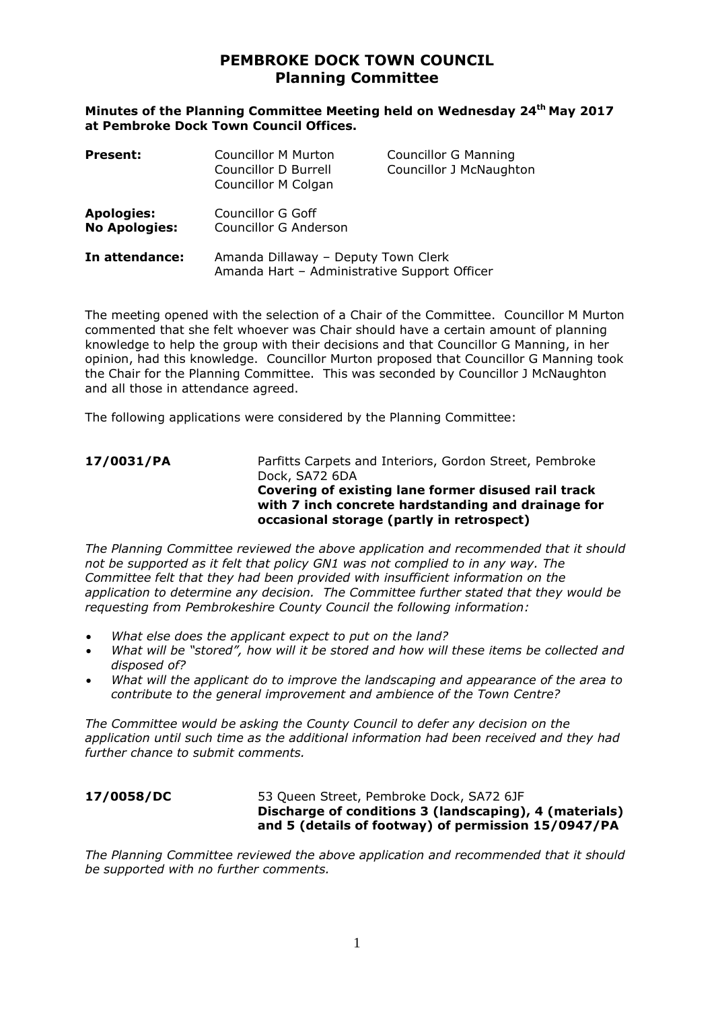# **PEMBROKE DOCK TOWN COUNCIL Planning Committee**

**Minutes of the Planning Committee Meeting held on Wednesday 24th May 2017 at Pembroke Dock Town Council Offices.**

| <b>Present:</b>                           | <b>Councillor M Murton</b><br>Councillor D Burrell<br><b>Councillor M Colgan</b>    | <b>Councillor G Manning</b><br>Councillor J McNaughton |
|-------------------------------------------|-------------------------------------------------------------------------------------|--------------------------------------------------------|
| <b>Apologies:</b><br><b>No Apologies:</b> | Councillor G Goff<br>Councillor G Anderson                                          |                                                        |
| In attendance:                            | Amanda Dillaway - Deputy Town Clerk<br>Amanda Hart - Administrative Support Officer |                                                        |

The meeting opened with the selection of a Chair of the Committee. Councillor M Murton commented that she felt whoever was Chair should have a certain amount of planning knowledge to help the group with their decisions and that Councillor G Manning, in her opinion, had this knowledge. Councillor Murton proposed that Councillor G Manning took the Chair for the Planning Committee. This was seconded by Councillor J McNaughton and all those in attendance agreed.

The following applications were considered by the Planning Committee:

## **17/0031/PA** Parfitts Carpets and Interiors, Gordon Street, Pembroke Dock, SA72 6DA **Covering of existing lane former disused rail track with 7 inch concrete hardstanding and drainage for occasional storage (partly in retrospect)**

*The Planning Committee reviewed the above application and recommended that it should not be supported as it felt that policy GN1 was not complied to in any way. The Committee felt that they had been provided with insufficient information on the application to determine any decision. The Committee further stated that they would be requesting from Pembrokeshire County Council the following information:*

- *What else does the applicant expect to put on the land?*
- *What will be "stored", how will it be stored and how will these items be collected and disposed of?*
- *What will the applicant do to improve the landscaping and appearance of the area to contribute to the general improvement and ambience of the Town Centre?*

*The Committee would be asking the County Council to defer any decision on the application until such time as the additional information had been received and they had further chance to submit comments.*

### **17/0058/DC** 53 Queen Street, Pembroke Dock, SA72 6JF **Discharge of conditions 3 (landscaping), 4 (materials) and 5 (details of footway) of permission 15/0947/PA**

*The Planning Committee reviewed the above application and recommended that it should be supported with no further comments.*